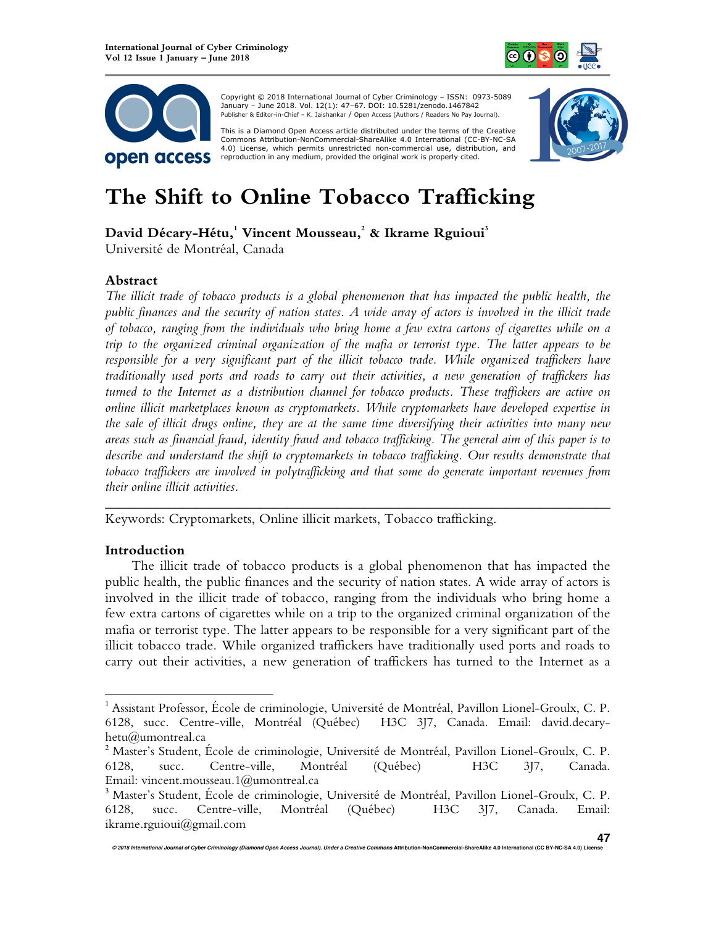



 Copyright © 2018 International Journal of Cyber Criminology – ISSN: 0973-5089 January – June 2018. Vol. 12(1): 47–67. DOI: 10.5281/zenodo.1467842 Publisher & Editor-in-Chief – K. Jaishankar / Open Access (Authors / Readers No Pay Journal).

This is a Diamond Open Access article distributed under the terms of the Creative Commons HTUAttribution-NonCommercial-ShareAlike 4.0 International (CC-BY-NC-SA 4.0) License, which permits unrestricted non-commercial use, distribution, and reproduction in any medium, provided the original work is properly cited.



# **The Shift to Online Tobacco Trafficking**

**David Décary-Hétu,<sup>1</sup> Vincent Mousseau,<sup>2</sup> & Ikrame Rguioui<sup>3</sup>**

Université de Montréal, Canada

# **Abstract**

*The illicit trade of tobacco products is a global phenomenon that has impacted the public health, the public finances and the security of nation states. A wide array of actors is involved in the illicit trade of tobacco, ranging from the individuals who bring home a few extra cartons of cigarettes while on a trip to the organized criminal organization of the mafia or terrorist type. The latter appears to be responsible for a very significant part of the illicit tobacco trade. While organized traffickers have traditionally used ports and roads to carry out their activities, a new generation of traffickers has turned to the Internet as a distribution channel for tobacco products. These traffickers are active on online illicit marketplaces known as cryptomarkets. While cryptomarkets have developed expertise in the sale of illicit drugs online, they are at the same time diversifying their activities into many new areas such as financial fraud, identity fraud and tobacco trafficking. The general aim of this paper is to describe and understand the shift to cryptomarkets in tobacco trafficking. Our results demonstrate that tobacco traffickers are involved in polytrafficking and that some do generate important revenues from their online illicit activities.* 

*\_\_\_\_\_\_\_\_\_\_\_\_\_\_\_\_\_\_\_\_\_\_\_\_\_\_\_\_\_\_\_\_\_\_\_\_\_\_\_\_\_\_\_\_\_\_\_\_\_\_\_\_\_\_\_\_\_\_\_\_\_\_\_\_\_\_\_\_\_\_\_\_*  Keywords: Cryptomarkets, Online illicit markets, Tobacco trafficking.

# **Introduction**

 $\overline{a}$ 

The illicit trade of tobacco products is a global phenomenon that has impacted the public health, the public finances and the security of nation states. A wide array of actors is involved in the illicit trade of tobacco, ranging from the individuals who bring home a few extra cartons of cigarettes while on a trip to the organized criminal organization of the mafia or terrorist type. The latter appears to be responsible for a very significant part of the illicit tobacco trade. While organized traffickers have traditionally used ports and roads to carry out their activities, a new generation of traffickers has turned to the Internet as a

<sup>&</sup>lt;sup>1</sup> Assistant Professor, École de criminologie, Université de Montréal, Pavillon Lionel-Groulx, C. P. 6128, succ. Centre-ville, Montréal (Québec) H3C 3J7, Canada. Email: david.decaryhetu@umontreal.ca

<sup>2</sup> Master's Student, École de criminologie, Université de Montréal, Pavillon Lionel-Groulx, C. P. 6128, succ. Centre-ville, Montréal (Québec) H3C 3J7, Canada. Email: vincent.mousseau.1@umontreal.ca

<sup>3</sup> Master's Student, École de criminologie, Université de Montréal, Pavillon Lionel-Groulx, C. P. 6128, succ. Centre-ville, Montréal (Québec) H3C 3J7, Canada. Email: ikrame.rguioui@gmail.com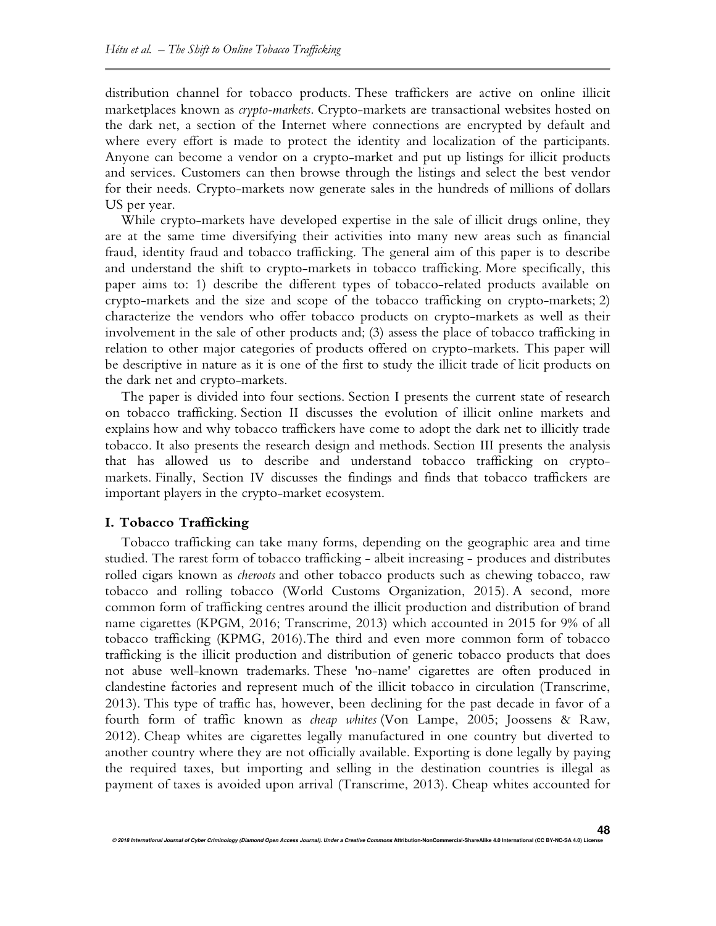distribution channel for tobacco products. These traffickers are active on online illicit marketplaces known as *crypto-markets*. Crypto-markets are transactional websites hosted on the dark net, a section of the Internet where connections are encrypted by default and where every effort is made to protect the identity and localization of the participants. Anyone can become a vendor on a crypto-market and put up listings for illicit products and services. Customers can then browse through the listings and select the best vendor for their needs. Crypto-markets now generate sales in the hundreds of millions of dollars US per year.

While crypto-markets have developed expertise in the sale of illicit drugs online, they are at the same time diversifying their activities into many new areas such as financial fraud, identity fraud and tobacco trafficking. The general aim of this paper is to describe and understand the shift to crypto-markets in tobacco trafficking. More specifically, this paper aims to: 1) describe the different types of tobacco-related products available on crypto-markets and the size and scope of the tobacco trafficking on crypto-markets; 2) characterize the vendors who offer tobacco products on crypto-markets as well as their involvement in the sale of other products and; (3) assess the place of tobacco trafficking in relation to other major categories of products offered on crypto-markets. This paper will be descriptive in nature as it is one of the first to study the illicit trade of licit products on the dark net and crypto-markets.

The paper is divided into four sections. Section I presents the current state of research on tobacco trafficking. Section II discusses the evolution of illicit online markets and explains how and why tobacco traffickers have come to adopt the dark net to illicitly trade tobacco. It also presents the research design and methods. Section III presents the analysis that has allowed us to describe and understand tobacco trafficking on cryptomarkets. Finally, Section IV discusses the findings and finds that tobacco traffickers are important players in the crypto-market ecosystem.

### **I. Tobacco Trafficking**

Tobacco trafficking can take many forms, depending on the geographic area and time studied. The rarest form of tobacco trafficking - albeit increasing - produces and distributes rolled cigars known as *cheroots* and other tobacco products such as chewing tobacco, raw tobacco and rolling tobacco (World Customs Organization, 2015). A second, more common form of trafficking centres around the illicit production and distribution of brand name cigarettes (KPGM, 2016; Transcrime, 2013) which accounted in 2015 for 9% of all tobacco trafficking (KPMG, 2016).The third and even more common form of tobacco trafficking is the illicit production and distribution of generic tobacco products that does not abuse well-known trademarks. These 'no-name' cigarettes are often produced in clandestine factories and represent much of the illicit tobacco in circulation (Transcrime, 2013). This type of traffic has, however, been declining for the past decade in favor of a fourth form of traffic known as *cheap whites* (Von Lampe, 2005; Joossens & Raw, 2012). Cheap whites are cigarettes legally manufactured in one country but diverted to another country where they are not officially available. Exporting is done legally by paying the required taxes, but importing and selling in the destination countries is illegal as payment of taxes is avoided upon arrival (Transcrime, 2013). Cheap whites accounted for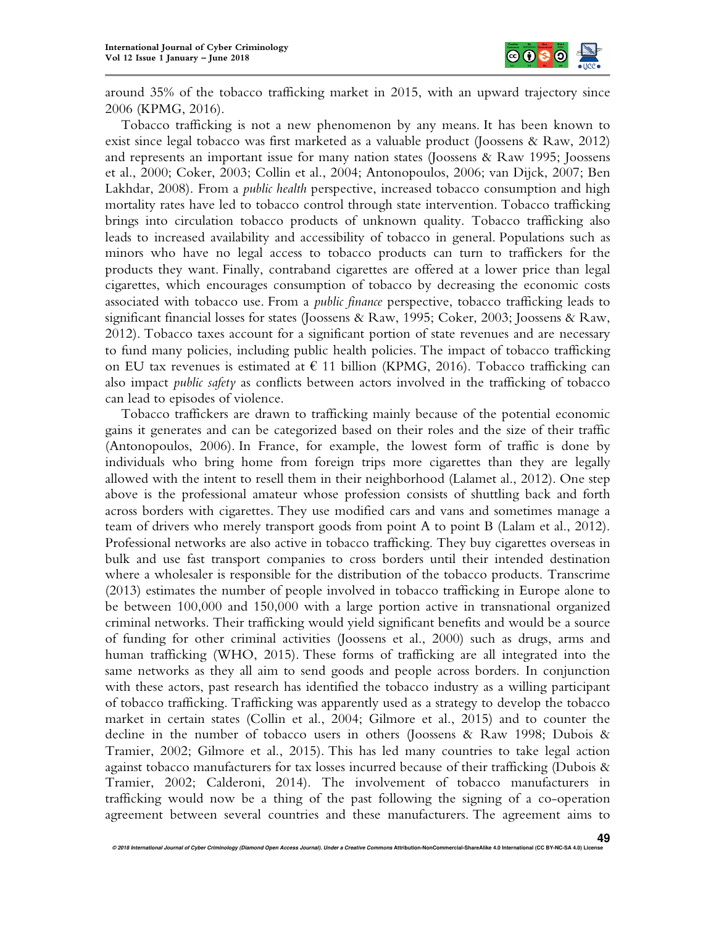

around 35% of the tobacco trafficking market in 2015, with an upward trajectory since 2006 (KPMG, 2016).

Tobacco trafficking is not a new phenomenon by any means. It has been known to exist since legal tobacco was first marketed as a valuable product (Joossens & Raw, 2012) and represents an important issue for many nation states (Joossens & Raw 1995; Joossens et al., 2000; Coker, 2003; Collin et al., 2004; Antonopoulos, 2006; van Dijck, 2007; Ben Lakhdar, 2008). From a *public health* perspective, increased tobacco consumption and high mortality rates have led to tobacco control through state intervention. Tobacco trafficking brings into circulation tobacco products of unknown quality. Tobacco trafficking also leads to increased availability and accessibility of tobacco in general. Populations such as minors who have no legal access to tobacco products can turn to traffickers for the products they want. Finally, contraband cigarettes are offered at a lower price than legal cigarettes, which encourages consumption of tobacco by decreasing the economic costs associated with tobacco use. From a *public finance* perspective, tobacco trafficking leads to significant financial losses for states (Joossens & Raw, 1995; Coker, 2003; Joossens & Raw, 2012). Tobacco taxes account for a significant portion of state revenues and are necessary to fund many policies, including public health policies. The impact of tobacco trafficking on EU tax revenues is estimated at  $\epsilon$  11 billion (KPMG, 2016). Tobacco trafficking can also impact *public safety* as conflicts between actors involved in the trafficking of tobacco can lead to episodes of violence.

Tobacco traffickers are drawn to trafficking mainly because of the potential economic gains it generates and can be categorized based on their roles and the size of their traffic (Antonopoulos, 2006). In France, for example, the lowest form of traffic is done by individuals who bring home from foreign trips more cigarettes than they are legally allowed with the intent to resell them in their neighborhood (Lalamet al., 2012). One step above is the professional amateur whose profession consists of shuttling back and forth across borders with cigarettes. They use modified cars and vans and sometimes manage a team of drivers who merely transport goods from point A to point B (Lalam et al., 2012). Professional networks are also active in tobacco trafficking. They buy cigarettes overseas in bulk and use fast transport companies to cross borders until their intended destination where a wholesaler is responsible for the distribution of the tobacco products. Transcrime (2013) estimates the number of people involved in tobacco trafficking in Europe alone to be between 100,000 and 150,000 with a large portion active in transnational organized criminal networks. Their trafficking would yield significant benefits and would be a source of funding for other criminal activities (Joossens et al., 2000) such as drugs, arms and human trafficking (WHO, 2015). These forms of trafficking are all integrated into the same networks as they all aim to send goods and people across borders. In conjunction with these actors, past research has identified the tobacco industry as a willing participant of tobacco trafficking. Trafficking was apparently used as a strategy to develop the tobacco market in certain states (Collin et al., 2004; Gilmore et al., 2015) and to counter the decline in the number of tobacco users in others (Joossens & Raw 1998; Dubois & Tramier, 2002; Gilmore et al., 2015). This has led many countries to take legal action against tobacco manufacturers for tax losses incurred because of their trafficking (Dubois  $\&$ Tramier, 2002; Calderoni, 2014). The involvement of tobacco manufacturers in trafficking would now be a thing of the past following the signing of a co-operation agreement between several countries and these manufacturers. The agreement aims to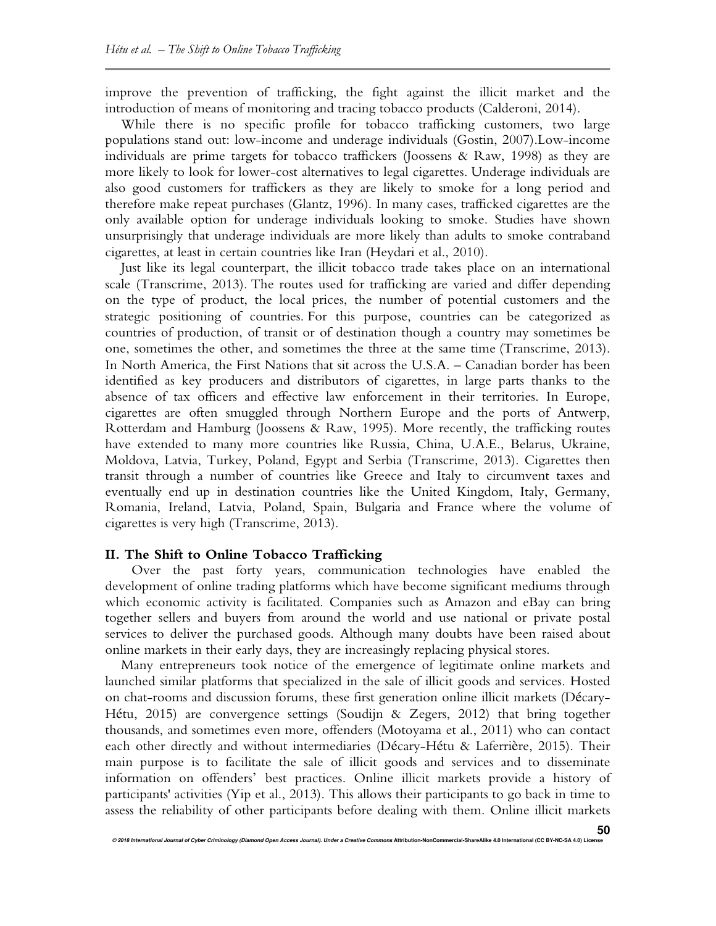improve the prevention of trafficking, the fight against the illicit market and the introduction of means of monitoring and tracing tobacco products (Calderoni, 2014).

While there is no specific profile for tobacco trafficking customers, two large populations stand out: low-income and underage individuals (Gostin, 2007).Low-income individuals are prime targets for tobacco traffickers (Joossens & Raw, 1998) as they are more likely to look for lower-cost alternatives to legal cigarettes. Underage individuals are also good customers for traffickers as they are likely to smoke for a long period and therefore make repeat purchases (Glantz, 1996). In many cases, trafficked cigarettes are the only available option for underage individuals looking to smoke. Studies have shown unsurprisingly that underage individuals are more likely than adults to smoke contraband cigarettes, at least in certain countries like Iran (Heydari et al., 2010).

Just like its legal counterpart, the illicit tobacco trade takes place on an international scale (Transcrime, 2013). The routes used for trafficking are varied and differ depending on the type of product, the local prices, the number of potential customers and the strategic positioning of countries. For this purpose, countries can be categorized as countries of production, of transit or of destination though a country may sometimes be one, sometimes the other, and sometimes the three at the same time (Transcrime, 2013). In North America, the First Nations that sit across the U.S.A. – Canadian border has been identified as key producers and distributors of cigarettes, in large parts thanks to the absence of tax officers and effective law enforcement in their territories. In Europe, cigarettes are often smuggled through Northern Europe and the ports of Antwerp, Rotterdam and Hamburg (Joossens & Raw, 1995). More recently, the trafficking routes have extended to many more countries like Russia, China, U.A.E., Belarus, Ukraine, Moldova, Latvia, Turkey, Poland, Egypt and Serbia (Transcrime, 2013). Cigarettes then transit through a number of countries like Greece and Italy to circumvent taxes and eventually end up in destination countries like the United Kingdom, Italy, Germany, Romania, Ireland, Latvia, Poland, Spain, Bulgaria and France where the volume of cigarettes is very high (Transcrime, 2013).

## **II. The Shift to Online Tobacco Trafficking**

Over the past forty years, communication technologies have enabled the development of online trading platforms which have become significant mediums through which economic activity is facilitated. Companies such as Amazon and eBay can bring together sellers and buyers from around the world and use national or private postal services to deliver the purchased goods. Although many doubts have been raised about online markets in their early days, they are increasingly replacing physical stores.

Many entrepreneurs took notice of the emergence of legitimate online markets and launched similar platforms that specialized in the sale of illicit goods and services. Hosted on chat-rooms and discussion forums, these first generation online illicit markets (Décary-Hétu, 2015) are convergence settings (Soudijn & Zegers, 2012) that bring together thousands, and sometimes even more, offenders (Motoyama et al., 2011) who can contact each other directly and without intermediaries (Décary-Hétu & Laferrière, 2015). Their main purpose is to facilitate the sale of illicit goods and services and to disseminate information on offenders' best practices. Online illicit markets provide a history of participants' activities (Yip et al., 2013). This allows their participants to go back in time to assess the reliability of other participants before dealing with them. Online illicit markets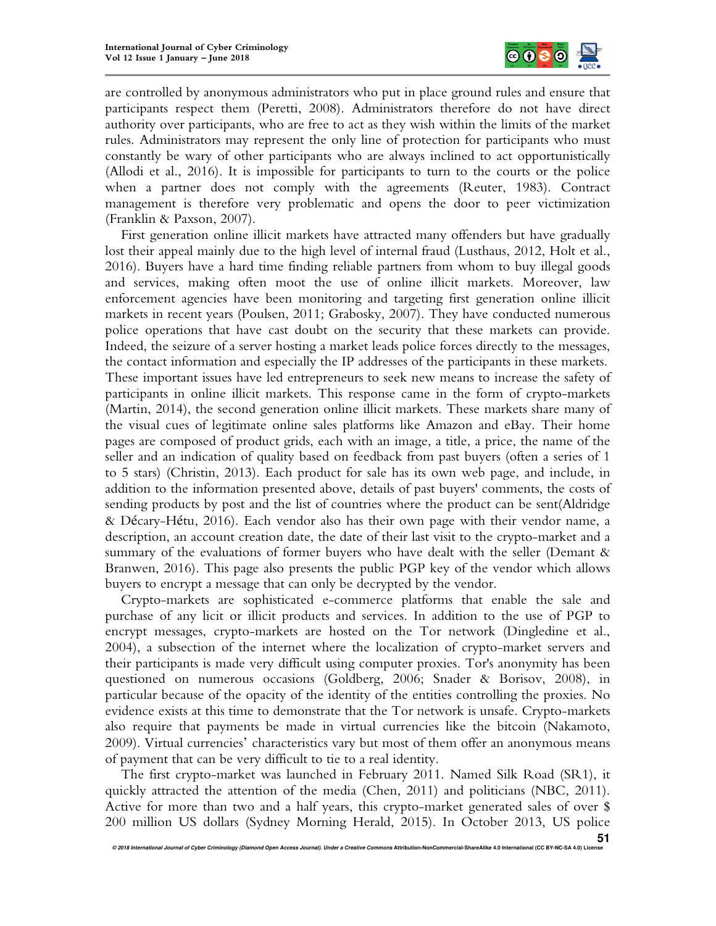

are controlled by anonymous administrators who put in place ground rules and ensure that participants respect them (Peretti, 2008). Administrators therefore do not have direct authority over participants, who are free to act as they wish within the limits of the market rules. Administrators may represent the only line of protection for participants who must constantly be wary of other participants who are always inclined to act opportunistically (Allodi et al., 2016). It is impossible for participants to turn to the courts or the police when a partner does not comply with the agreements (Reuter, 1983). Contract management is therefore very problematic and opens the door to peer victimization (Franklin & Paxson, 2007).

First generation online illicit markets have attracted many offenders but have gradually lost their appeal mainly due to the high level of internal fraud (Lusthaus, 2012, Holt et al., 2016). Buyers have a hard time finding reliable partners from whom to buy illegal goods and services, making often moot the use of online illicit markets. Moreover, law enforcement agencies have been monitoring and targeting first generation online illicit markets in recent years (Poulsen, 2011; Grabosky, 2007). They have conducted numerous police operations that have cast doubt on the security that these markets can provide. Indeed, the seizure of a server hosting a market leads police forces directly to the messages, the contact information and especially the IP addresses of the participants in these markets. These important issues have led entrepreneurs to seek new means to increase the safety of participants in online illicit markets. This response came in the form of crypto-markets (Martin, 2014), the second generation online illicit markets. These markets share many of the visual cues of legitimate online sales platforms like Amazon and eBay. Their home pages are composed of product grids, each with an image, a title, a price, the name of the seller and an indication of quality based on feedback from past buyers (often a series of 1 to 5 stars) (Christin, 2013). Each product for sale has its own web page, and include, in addition to the information presented above, details of past buyers' comments, the costs of sending products by post and the list of countries where the product can be sent(Aldridge & Décary-Hétu, 2016). Each vendor also has their own page with their vendor name, a description, an account creation date, the date of their last visit to the crypto-market and a summary of the evaluations of former buyers who have dealt with the seller (Demant & Branwen, 2016). This page also presents the public PGP key of the vendor which allows buyers to encrypt a message that can only be decrypted by the vendor.

Crypto-markets are sophisticated e-commerce platforms that enable the sale and purchase of any licit or illicit products and services. In addition to the use of PGP to encrypt messages, crypto-markets are hosted on the Tor network (Dingledine et al., 2004), a subsection of the internet where the localization of crypto-market servers and their participants is made very difficult using computer proxies. Tor's anonymity has been questioned on numerous occasions (Goldberg, 2006; Snader & Borisov, 2008), in particular because of the opacity of the identity of the entities controlling the proxies. No evidence exists at this time to demonstrate that the Tor network is unsafe. Crypto-markets also require that payments be made in virtual currencies like the bitcoin (Nakamoto, 2009). Virtual currencies' characteristics vary but most of them offer an anonymous means of payment that can be very difficult to tie to a real identity.

The first crypto-market was launched in February 2011. Named Silk Road (SR1), it quickly attracted the attention of the media (Chen, 2011) and politicians (NBC, 2011). Active for more than two and a half years, this crypto-market generated sales of over \$ 200 million US dollars (Sydney Morning Herald, 2015). In October 2013, US police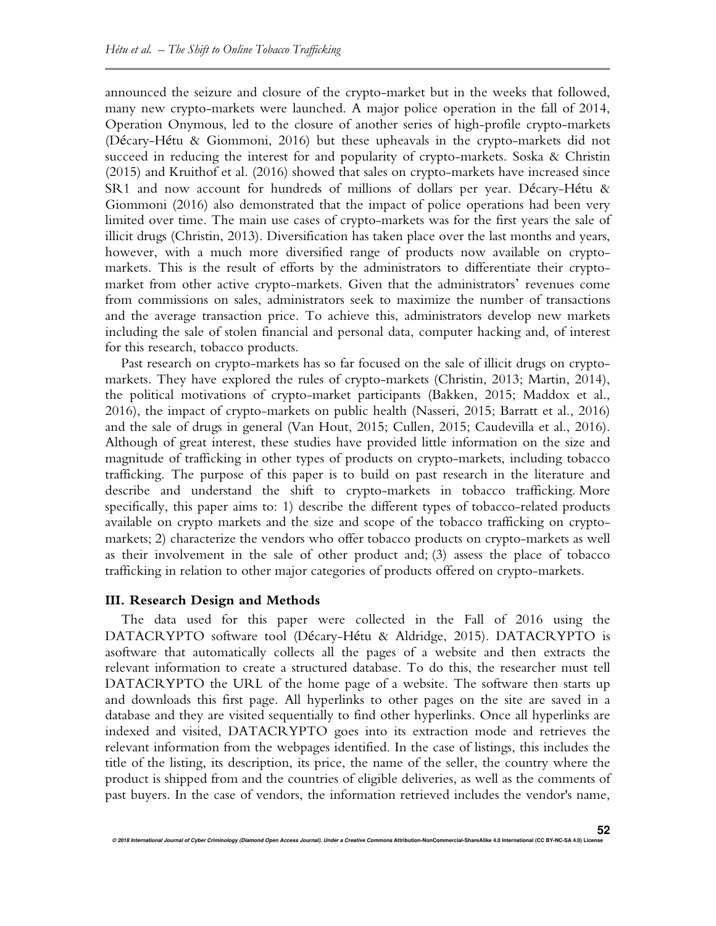announced the seizure and closure of the crypto-market but in the weeks that followed, many new crypto-markets were launched. A major police operation in the fall of 2014, Operation Onymous, led to the closure of another series of high-profile crypto-markets (Décary-Hétu & Giommoni, 2016) but these upheavals in the crypto-markets did not succeed in reducing the interest for and popularity of crypto-markets. Soska & Christin (2015) and Kruithof et al. (2016) showed that sales on crypto-markets have increased since SR1 and now account for hundreds of millions of dollars per year. Décary-Hétu & Giommoni (2016) also demonstrated that the impact of police operations had been very limited over time. The main use cases of crypto-markets was for the first years the sale of illicit drugs (Christin, 2013). Diversification has taken place over the last months and years, however, with a much more diversified range of products now available on cryptomarkets. This is the result of efforts by the administrators to differentiate their cryptomarket from other active crypto-markets. Given that the administrators' revenues come from commissions on sales, administrators seek to maximize the number of transactions and the average transaction price. To achieve this, administrators develop new markets including the sale of stolen financial and personal data, computer hacking and, of interest for this research, tobacco products.

Past research on crypto-markets has so far focused on the sale of illicit drugs on cryptomarkets. They have explored the rules of crypto-markets (Christin, 2013; Martin, 2014), the political motivations of crypto-market participants (Bakken, 2015; Maddox et al., 2016), the impact of crypto-markets on public health (Nasseri, 2015; Barratt et al., 2016) and the sale of drugs in general (Van Hout, 2015; Cullen, 2015; Caudevilla et al., 2016). Although of great interest, these studies have provided little information on the size and magnitude of trafficking in other types of products on crypto-markets, including tobacco trafficking. The purpose of this paper is to build on past research in the literature and describe and understand the shift to crypto-markets in tobacco trafficking. More specifically, this paper aims to: 1) describe the different types of tobacco-related products available on crypto markets and the size and scope of the tobacco trafficking on cryptomarkets; 2) characterize the vendors who offer tobacco products on crypto-markets as well as their involvement in the sale of other product and; (3) assess the place of tobacco trafficking in relation to other major categories of products offered on crypto-markets.

#### **III. Research Design and Methods**

The data used for this paper were collected in the Fall of 2016 using the DATACRYPTO software tool (Décary-Hétu & Aldridge, 2015). DATACRYPTO is asoftware that automatically collects all the pages of a website and then extracts the relevant information to create a structured database. To do this, the researcher must tell DATACRYPTO the URL of the home page of a website. The software then starts up and downloads this first page. All hyperlinks to other pages on the site are saved in a database and they are visited sequentially to find other hyperlinks. Once all hyperlinks are indexed and visited, DATACRYPTO goes into its extraction mode and retrieves the relevant information from the webpages identified. In the case of listings, this includes the title of the listing, its description, its price, the name of the seller, the country where the product is shipped from and the countries of eligible deliveries, as well as the comments of past buyers. In the case of vendors, the information retrieved includes the vendor's name,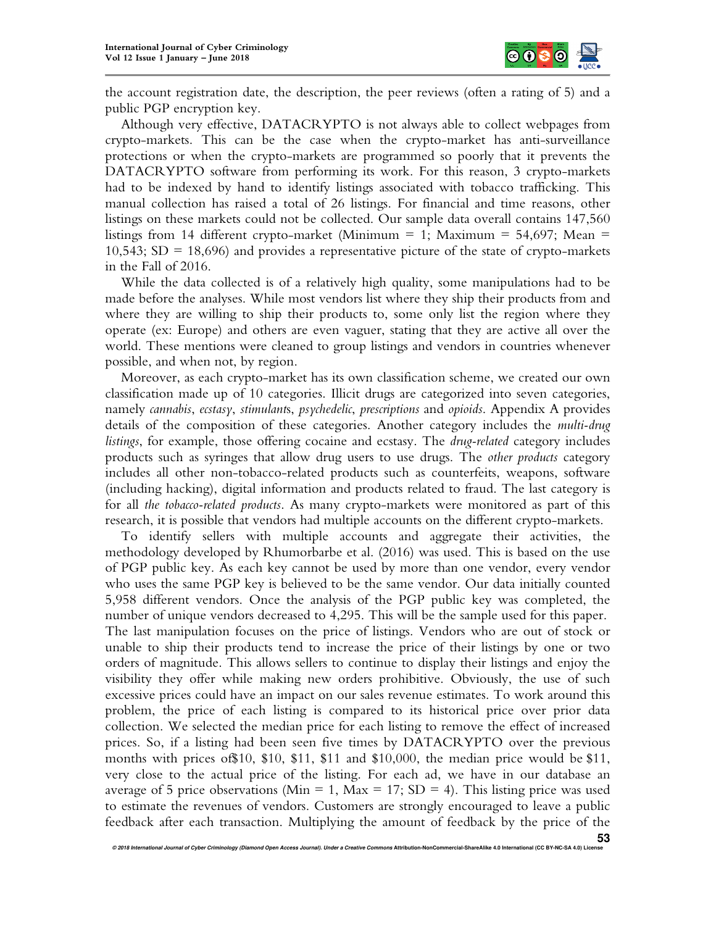

the account registration date, the description, the peer reviews (often a rating of 5) and a public PGP encryption key.

Although very effective, DATACRYPTO is not always able to collect webpages from crypto-markets. This can be the case when the crypto-market has anti-surveillance protections or when the crypto-markets are programmed so poorly that it prevents the DATACRYPTO software from performing its work. For this reason, 3 crypto-markets had to be indexed by hand to identify listings associated with tobacco trafficking. This manual collection has raised a total of 26 listings. For financial and time reasons, other listings on these markets could not be collected. Our sample data overall contains 147,560 listings from 14 different crypto-market (Minimum  $= 1$ ; Maximum  $= 54,697$ ; Mean  $=$ 10,543;  $SD = 18,696$ ) and provides a representative picture of the state of crypto-markets in the Fall of 2016.

While the data collected is of a relatively high quality, some manipulations had to be made before the analyses. While most vendors list where they ship their products from and where they are willing to ship their products to, some only list the region where they operate (ex: Europe) and others are even vaguer, stating that they are active all over the world. These mentions were cleaned to group listings and vendors in countries whenever possible, and when not, by region.

Moreover, as each crypto-market has its own classification scheme, we created our own classification made up of 10 categories. Illicit drugs are categorized into seven categories, namely *cannabis*, *ecstasy*, *stimulant*s, *psychedelic*, *prescriptions* and *opioids*. Appendix A provides details of the composition of these categories. Another category includes the *multi-drug listings*, for example, those offering cocaine and ecstasy. The *drug-related* category includes products such as syringes that allow drug users to use drugs. The *other products* category includes all other non-tobacco-related products such as counterfeits, weapons, software (including hacking), digital information and products related to fraud. The last category is for all *the tobacco-related products*. As many crypto-markets were monitored as part of this research, it is possible that vendors had multiple accounts on the different crypto-markets.

To identify sellers with multiple accounts and aggregate their activities, the methodology developed by Rhumorbarbe et al. (2016) was used. This is based on the use of PGP public key. As each key cannot be used by more than one vendor, every vendor who uses the same PGP key is believed to be the same vendor. Our data initially counted 5,958 different vendors. Once the analysis of the PGP public key was completed, the number of unique vendors decreased to 4,295. This will be the sample used for this paper. The last manipulation focuses on the price of listings. Vendors who are out of stock or unable to ship their products tend to increase the price of their listings by one or two orders of magnitude. This allows sellers to continue to display their listings and enjoy the visibility they offer while making new orders prohibitive. Obviously, the use of such excessive prices could have an impact on our sales revenue estimates. To work around this problem, the price of each listing is compared to its historical price over prior data collection. We selected the median price for each listing to remove the effect of increased prices. So, if a listing had been seen five times by DATACRYPTO over the previous months with prices of\$10, \$10, \$11, \$11 and \$10,000, the median price would be \$11, very close to the actual price of the listing. For each ad, we have in our database an average of 5 price observations (Min = 1, Max = 17; SD = 4). This listing price was used to estimate the revenues of vendors. Customers are strongly encouraged to leave a public feedback after each transaction. Multiplying the amount of feedback by the price of the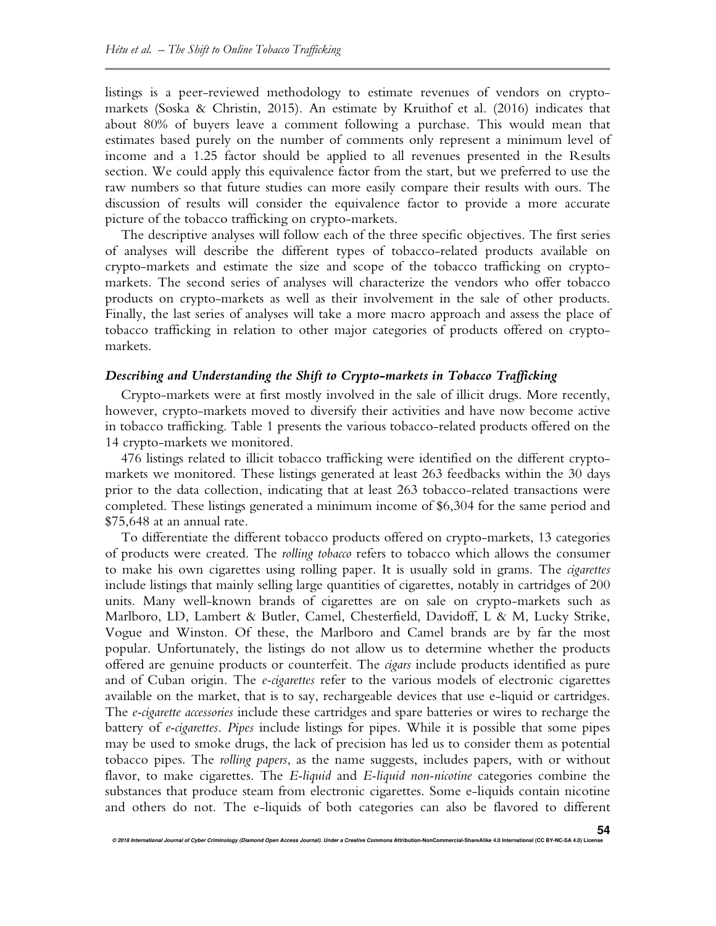listings is a peer-reviewed methodology to estimate revenues of vendors on cryptomarkets (Soska & Christin, 2015). An estimate by Kruithof et al. (2016) indicates that about 80% of buyers leave a comment following a purchase. This would mean that estimates based purely on the number of comments only represent a minimum level of income and a 1.25 factor should be applied to all revenues presented in the Results section. We could apply this equivalence factor from the start, but we preferred to use the raw numbers so that future studies can more easily compare their results with ours. The discussion of results will consider the equivalence factor to provide a more accurate picture of the tobacco trafficking on crypto-markets.

The descriptive analyses will follow each of the three specific objectives. The first series of analyses will describe the different types of tobacco-related products available on crypto-markets and estimate the size and scope of the tobacco trafficking on cryptomarkets. The second series of analyses will characterize the vendors who offer tobacco products on crypto-markets as well as their involvement in the sale of other products. Finally, the last series of analyses will take a more macro approach and assess the place of tobacco trafficking in relation to other major categories of products offered on cryptomarkets.

### *Describing and Understanding the Shift to Crypto-markets in Tobacco Trafficking*

Crypto-markets were at first mostly involved in the sale of illicit drugs. More recently, however, crypto-markets moved to diversify their activities and have now become active in tobacco trafficking. Table 1 presents the various tobacco-related products offered on the 14 crypto-markets we monitored.

476 listings related to illicit tobacco trafficking were identified on the different cryptomarkets we monitored. These listings generated at least 263 feedbacks within the 30 days prior to the data collection, indicating that at least 263 tobacco-related transactions were completed. These listings generated a minimum income of \$6,304 for the same period and \$75,648 at an annual rate.

To differentiate the different tobacco products offered on crypto-markets, 13 categories of products were created. The *rolling tobacco* refers to tobacco which allows the consumer to make his own cigarettes using rolling paper. It is usually sold in grams. The *cigarettes*  include listings that mainly selling large quantities of cigarettes, notably in cartridges of 200 units. Many well-known brands of cigarettes are on sale on crypto-markets such as Marlboro, LD, Lambert & Butler, Camel, Chesterfield, Davidoff, L & M, Lucky Strike, Vogue and Winston. Of these, the Marlboro and Camel brands are by far the most popular. Unfortunately, the listings do not allow us to determine whether the products offered are genuine products or counterfeit. The *cigars* include products identified as pure and of Cuban origin. The *e-cigarettes* refer to the various models of electronic cigarettes available on the market, that is to say, rechargeable devices that use e-liquid or cartridges. The *e-cigarette accessories* include these cartridges and spare batteries or wires to recharge the battery of *e-cigarettes*. *Pipes* include listings for pipes. While it is possible that some pipes may be used to smoke drugs, the lack of precision has led us to consider them as potential tobacco pipes. The *rolling papers*, as the name suggests, includes papers, with or without flavor, to make cigarettes. The *E-liquid* and *E-liquid non-nicotine* categories combine the substances that produce steam from electronic cigarettes. Some e-liquids contain nicotine and others do not. The e-liquids of both categories can also be flavored to different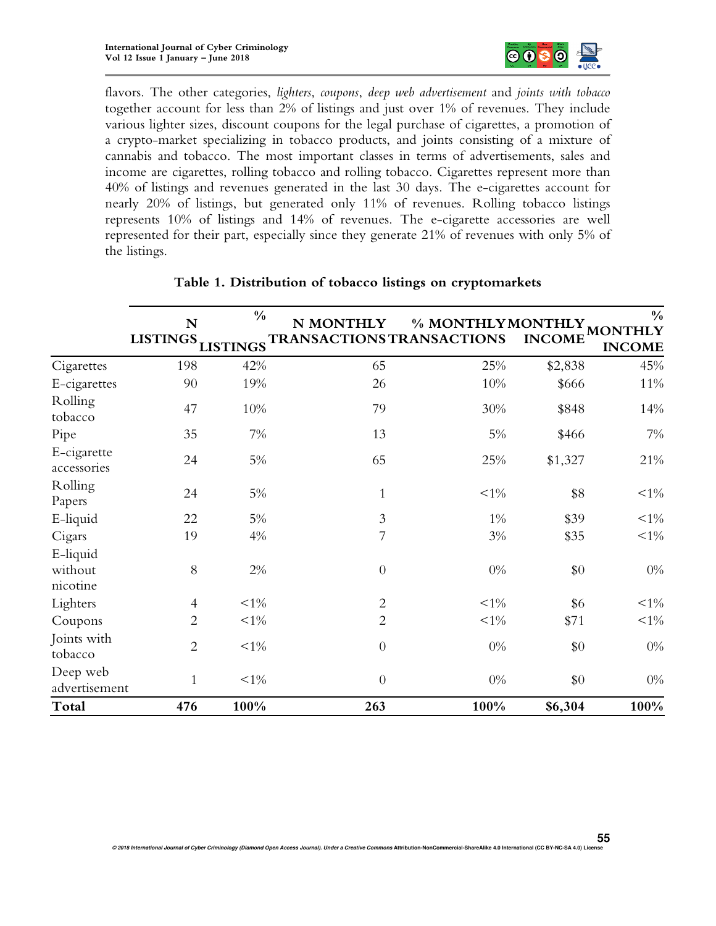

flavors. The other categories, *lighters*, *coupons*, *deep web advertisement* and *joints with tobacco* together account for less than 2% of listings and just over 1% of revenues. They include various lighter sizes, discount coupons for the legal purchase of cigarettes, a promotion of a crypto-market specializing in tobacco products, and joints consisting of a mixture of cannabis and tobacco. The most important classes in terms of advertisements, sales and income are cigarettes, rolling tobacco and rolling tobacco. Cigarettes represent more than 40% of listings and revenues generated in the last 30 days. The e-cigarettes account for nearly 20% of listings, but generated only 11% of revenues. Rolling tobacco listings represents 10% of listings and 14% of revenues. The e-cigarette accessories are well represented for their part, especially since they generate 21% of revenues with only 5% of the listings.

|                                 | N<br><b>LISTINGS</b> | $\frac{0}{0}$<br><b>LISTINGS</b> | N MONTHLY<br>TRANSACTIONS TRANSACTIONS | % MONTHLY MON | <b>INCOME</b> | $\frac{0}{0}$<br><b>MONTHLY</b><br><b>INCOME</b> |
|---------------------------------|----------------------|----------------------------------|----------------------------------------|---------------|---------------|--------------------------------------------------|
| Cigarettes                      | 198                  | 42%                              | 65                                     | 25%           | \$2,838       | 45%                                              |
| E-cigarettes                    | 90                   | 19%                              | 26                                     | $10\%$        | \$666         | 11%                                              |
| Rolling<br>tobacco              | 47                   | $10\%$                           | 79                                     | 30%           | \$848         | 14%                                              |
| Pipe                            | 35                   | $7\%$                            | 13                                     | 5%            | \$466         | 7%                                               |
| E-cigarette<br>accessories      | 24                   | $5\%$                            | 65                                     | 25%           | \$1,327       | 21%                                              |
| Rolling<br>Papers               | 24                   | $5\%$                            | $\mathbf{1}$                           | $<1\%$        | \$8           | $<1\%$                                           |
| E-liquid                        | 22                   | 5%                               | $\mathfrak{Z}$                         | $1\%$         | \$39          | $<1\%$                                           |
| Cigars                          | 19                   | 4%                               | 7                                      | $3\%$         | \$35          | $<1\%$                                           |
| E-liquid<br>without<br>nicotine | 8                    | $2\%$                            | $\theta$                               | $0\%$         | \$0           | $0\%$                                            |
| Lighters                        | $\overline{4}$       | $<1\%$                           | $\overline{c}$                         | $<1\%$        | \$6           | $<1\%$                                           |
| Coupons                         | $\overline{2}$       | ${<}1\%$                         | $\overline{2}$                         | $< 1\%$       | \$71          | ${<}1\%$                                         |
| Joints with<br>tobacco          | $\overline{2}$       | $< 1\%$                          | $\overline{0}$                         | $0\%$         | \$0           | $0\%$                                            |
| Deep web<br>advertisement       | $\mathbf{1}$         | $<1\%$                           | $\overline{0}$                         | $0\%$         | \$0           | $0\%$                                            |
| Total                           | 476                  | 100%                             | 263                                    | 100%          | \$6,304       | 100%                                             |

# **Table 1. Distribution of tobacco listings on cryptomarkets**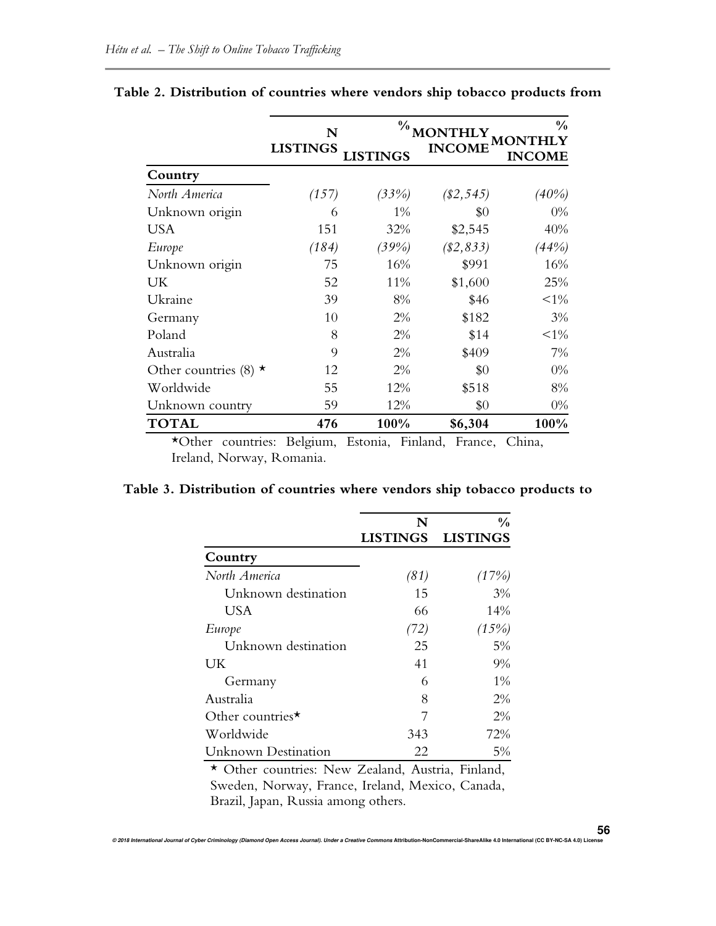|                             | N<br><b>LISTINGS</b> | $\frac{0}{0}$<br><b>INCOME</b><br><b>INGS</b> |              | $\frac{0}{0}$<br>INCOME |  |
|-----------------------------|----------------------|-----------------------------------------------|--------------|-------------------------|--|
| Country                     |                      |                                               |              |                         |  |
| North America               | (157)                | (33%)                                         | $(\$2, 545)$ | (40%)                   |  |
| Unknown origin              | 6                    | 1%                                            | \$0          | $0\%$                   |  |
| <b>USA</b>                  | 151                  | 32%                                           | \$2,545      | 40%                     |  |
| Europe                      | (184)                | (39%)                                         | $(\$2,833)$  | (44%)                   |  |
| Unknown origin              | 75                   | 16%                                           | \$991        | 16%                     |  |
| UK                          | 52                   | 11%                                           | \$1,600      | 25%                     |  |
| Ukraine                     | 39                   | 8%                                            | \$46         | $<1\%$                  |  |
| Germany                     | 10                   | 2%                                            | \$182        | 3%                      |  |
| Poland                      | 8                    | 2%                                            | \$14         | $<1\%$                  |  |
| Australia                   | 9                    | 2%                                            | \$409        | 7%                      |  |
| Other countries (8) $\star$ | 12                   | 2%                                            | \$0          | $0\%$                   |  |
| Worldwide                   | 55                   | 12%                                           | \$518        | 8%                      |  |
| Unknown country             | 59                   | 12%                                           | \$0          | $0\%$                   |  |
| <b>TOTAL</b>                | 476                  | 100%                                          | \$6,304      | 100%                    |  |

# **Table 2. Distribution of countries where vendors ship tobacco products from**

\*Other countries: Belgium, Estonia, Finland, France, China, Ireland, Norway, Romania.

# **Table 3. Distribution of countries where vendors ship tobacco products to**

|                                                        | N               | $\frac{0}{0}$   |
|--------------------------------------------------------|-----------------|-----------------|
|                                                        | <b>LISTINGS</b> | <b>LISTINGS</b> |
| Country                                                |                 |                 |
| North America                                          | (81)            | (17%)           |
| Unknown destination                                    | 15              | 3%              |
| USA                                                    | 66              | 14%             |
| Europe                                                 | (72)            | (15%)           |
| Unknown destination                                    | 25              | 5%              |
| UK.                                                    | 41              | 9%              |
| Germany                                                | 6               | $1\%$           |
| Australia                                              | 8               | 2%              |
| Other countries*                                       |                 | $2\%$           |
| Worldwide                                              | 343             | 72%             |
| Unknown Destination                                    | 22              | 5%              |
| * Other countries: New Zealand, Austria, Finland,<br>— | <b>TIINE</b>    |                 |

Sweden, Norway, France, Ireland, Mexico, Canada, Brazil, Japan, Russia among others.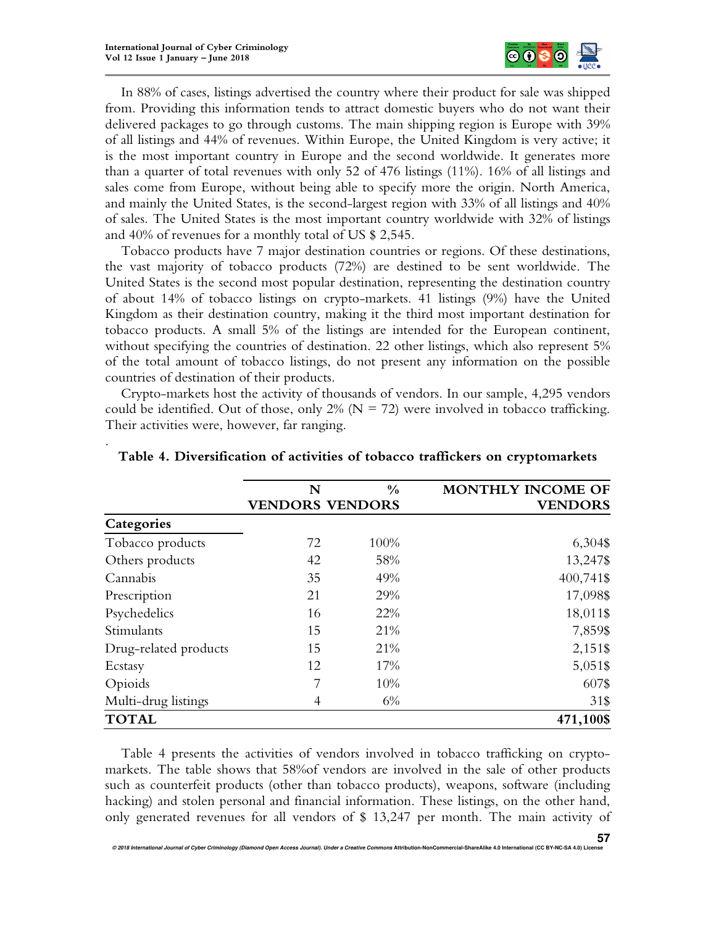.



In 88% of cases, listings advertised the country where their product for sale was shipped from. Providing this information tends to attract domestic buyers who do not want their delivered packages to go through customs. The main shipping region is Europe with 39% of all listings and 44% of revenues. Within Europe, the United Kingdom is very active; it is the most important country in Europe and the second worldwide. It generates more than a quarter of total revenues with only 52 of 476 listings (11%). 16% of all listings and sales come from Europe, without being able to specify more the origin. North America, and mainly the United States, is the second-largest region with 33% of all listings and 40% of sales. The United States is the most important country worldwide with 32% of listings and 40% of revenues for a monthly total of US \$ 2,545.

Tobacco products have 7 major destination countries or regions. Of these destinations, the vast majority of tobacco products (72%) are destined to be sent worldwide. The United States is the second most popular destination, representing the destination country of about 14% of tobacco listings on crypto-markets. 41 listings (9%) have the United Kingdom as their destination country, making it the third most important destination for tobacco products. A small 5% of the listings are intended for the European continent, without specifying the countries of destination. 22 other listings, which also represent 5% of the total amount of tobacco listings, do not present any information on the possible countries of destination of their products.

Crypto-markets host the activity of thousands of vendors. In our sample, 4,295 vendors could be identified. Out of those, only  $2\%$  (N = 72) were involved in tobacco trafficking. Their activities were, however, far ranging.

|                       | N                      | $\frac{0}{0}$ | MONTHLY INCOME OF |
|-----------------------|------------------------|---------------|-------------------|
|                       | <b>VENDORS VENDORS</b> |               | <b>VENDORS</b>    |
| Categories            |                        |               |                   |
| Tobacco products      | 72                     | 100%          | 6,304\$           |
| Others products       | 42                     | 58%           | 13,247\$          |
| Cannabis              | 35                     | 49%           | 400,741\$         |
| Prescription          | 21                     | 29%           | 17,098\$          |
| Psychedelics          | 16                     | 22%           | 18,011\$          |
| Stimulants            | 15                     | 21%           | 7,859\$           |
| Drug-related products | 15                     | 21%           | 2,151\$           |
| Ecstasy               | 12                     | 17%           | 5,051\$           |
| Opioids               | 7                      | 10%           | 607\$             |
| Multi-drug listings   | 4                      | 6%            | 31\$              |
| <b>TOTAL</b>          |                        |               | 471,100\$         |

### **Table 4. Diversification of activities of tobacco traffickers on cryptomarkets**

Table 4 presents the activities of vendors involved in tobacco trafficking on cryptomarkets. The table shows that 58%of vendors are involved in the sale of other products such as counterfeit products (other than tobacco products), weapons, software (including hacking) and stolen personal and financial information. These listings, on the other hand, only generated revenues for all vendors of \$ 13,247 per month. The main activity of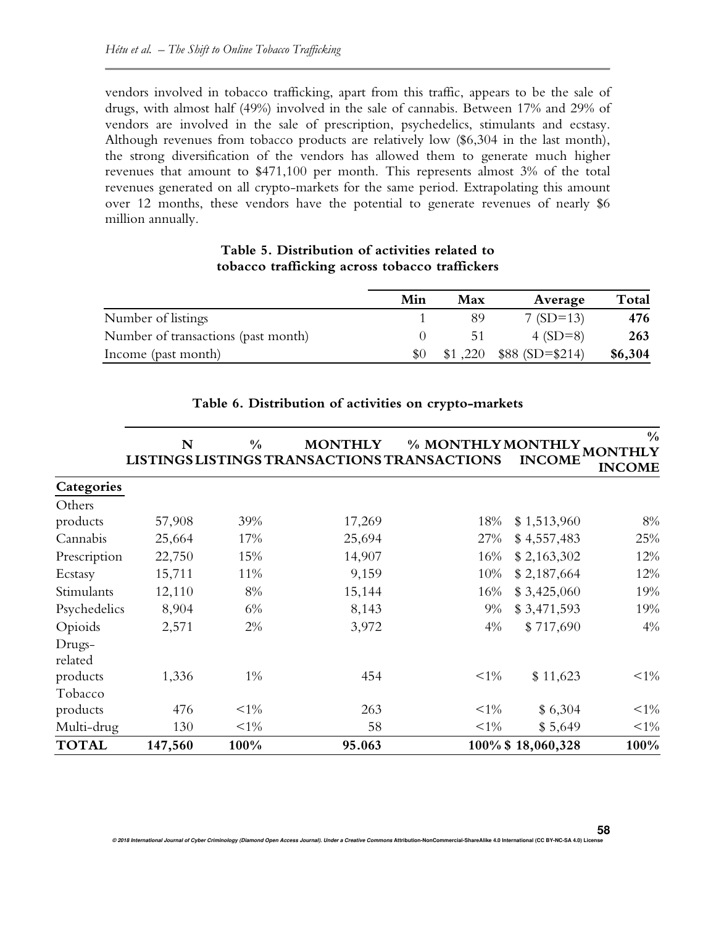vendors involved in tobacco trafficking, apart from this traffic, appears to be the sale of drugs, with almost half (49%) involved in the sale of cannabis. Between 17% and 29% of vendors are involved in the sale of prescription, psychedelics, stimulants and ecstasy. Although revenues from tobacco products are relatively low (\$6,304 in the last month), the strong diversification of the vendors has allowed them to generate much higher revenues that amount to \$471,100 per month. This represents almost 3% of the total revenues generated on all crypto-markets for the same period. Extrapolating this amount over 12 months, these vendors have the potential to generate revenues of nearly \$6 million annually.

# **Table 5. Distribution of activities related to tobacco trafficking across tobacco traffickers**

|                                     | Min | Max     | Average          | Total   |
|-------------------------------------|-----|---------|------------------|---------|
| Number of listings                  |     |         | $7(SD=13)$       | 476     |
| Number of transactions (past month) |     | 51      | 4 $(SD=8)$       | 263     |
| Income (past month)                 |     | \$1,220 | $$88(SD = $214)$ | \$6,304 |

|                   | N       | $\frac{0}{0}$ | <b>MONTHLY</b><br>LISTINGS LISTINGS TRANSACTIONS TRANSACTIONS | % MONTHLY MONTHLY | <b>INCOME</b>     | $\frac{0}{0}$<br><b>MONTHLY</b><br><b>INCOME</b> |
|-------------------|---------|---------------|---------------------------------------------------------------|-------------------|-------------------|--------------------------------------------------|
| Categories        |         |               |                                                               |                   |                   |                                                  |
| Others            |         |               |                                                               |                   |                   |                                                  |
| products          | 57,908  | 39%           | 17,269                                                        | 18%               | \$1,513,960       | 8%                                               |
| Cannabis          | 25,664  | 17%           | 25,694                                                        | 27%               | \$4,557,483       | 25%                                              |
| Prescription      | 22,750  | 15%           | 14,907                                                        | 16%               | \$2,163,302       | 12%                                              |
| Ecstasy           | 15,711  | 11%           | 9,159                                                         | 10%               | \$2,187,664       | 12%                                              |
| Stimulants        | 12,110  | 8%            | 15,144                                                        | 16%               | \$3,425,060       | 19%                                              |
| Psychedelics      | 8,904   | 6%            | 8,143                                                         | 9%                | \$3,471,593       | 19%                                              |
| Opioids           | 2,571   | 2%            | 3,972                                                         | 4%                | \$717,690         | 4%                                               |
| Drugs-<br>related |         |               |                                                               |                   |                   |                                                  |
| products          | 1,336   | $1\%$         | 454                                                           | $<1\%$            | \$11,623          | ${<}1\%$                                         |
| Tobacco           |         |               |                                                               |                   |                   |                                                  |
| products          | 476     | $<1\%$        | 263                                                           | $<1\%$            | \$6,304           | ${<}1\%$                                         |
| Multi-drug        | 130     | $<1\%$        | 58                                                            | $<1\%$            | \$5,649           | $<1\%$                                           |
| <b>TOTAL</b>      | 147,560 | 100%          | 95.063                                                        |                   | 100% \$18,060,328 | 100%                                             |

# **Table 6. Distribution of activities on crypto-markets**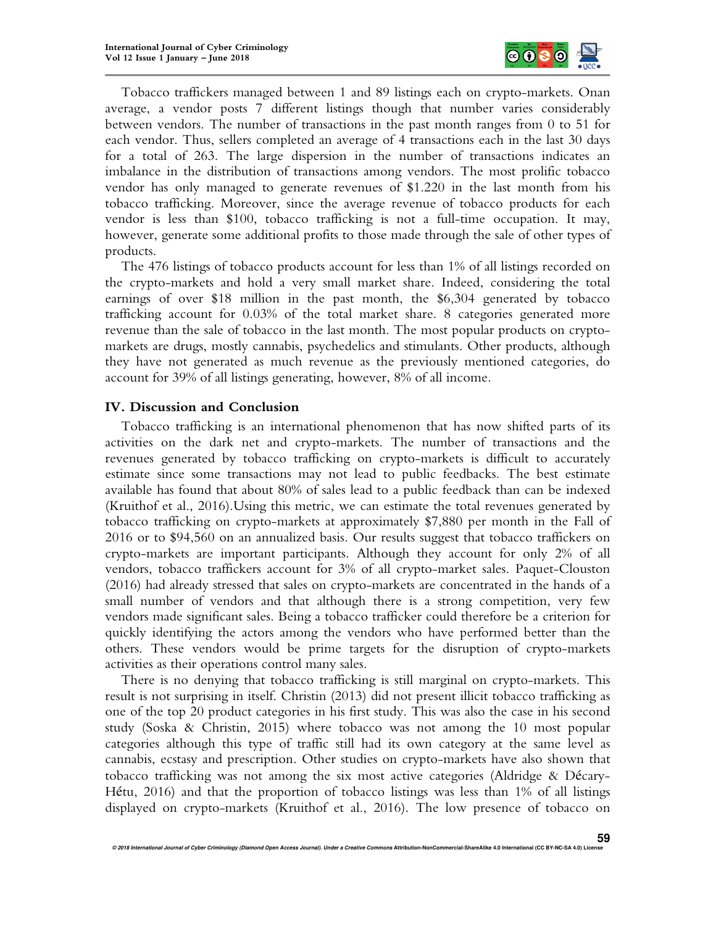

Tobacco traffickers managed between 1 and 89 listings each on crypto-markets. Onan average, a vendor posts 7 different listings though that number varies considerably between vendors. The number of transactions in the past month ranges from 0 to 51 for each vendor. Thus, sellers completed an average of 4 transactions each in the last 30 days for a total of 263. The large dispersion in the number of transactions indicates an imbalance in the distribution of transactions among vendors. The most prolific tobacco vendor has only managed to generate revenues of \$1.220 in the last month from his tobacco trafficking. Moreover, since the average revenue of tobacco products for each vendor is less than \$100, tobacco trafficking is not a full-time occupation. It may, however, generate some additional profits to those made through the sale of other types of products.

The 476 listings of tobacco products account for less than 1% of all listings recorded on the crypto-markets and hold a very small market share. Indeed, considering the total earnings of over \$18 million in the past month, the \$6,304 generated by tobacco trafficking account for 0.03% of the total market share. 8 categories generated more revenue than the sale of tobacco in the last month. The most popular products on cryptomarkets are drugs, mostly cannabis, psychedelics and stimulants. Other products, although they have not generated as much revenue as the previously mentioned categories, do account for 39% of all listings generating, however, 8% of all income.

## **IV. Discussion and Conclusion**

Tobacco trafficking is an international phenomenon that has now shifted parts of its activities on the dark net and crypto-markets. The number of transactions and the revenues generated by tobacco trafficking on crypto-markets is difficult to accurately estimate since some transactions may not lead to public feedbacks. The best estimate available has found that about 80% of sales lead to a public feedback than can be indexed (Kruithof et al., 2016).Using this metric, we can estimate the total revenues generated by tobacco trafficking on crypto-markets at approximately \$7,880 per month in the Fall of 2016 or to \$94,560 on an annualized basis. Our results suggest that tobacco traffickers on crypto-markets are important participants. Although they account for only 2% of all vendors, tobacco traffickers account for 3% of all crypto-market sales. Paquet-Clouston (2016) had already stressed that sales on crypto-markets are concentrated in the hands of a small number of vendors and that although there is a strong competition, very few vendors made significant sales. Being a tobacco trafficker could therefore be a criterion for quickly identifying the actors among the vendors who have performed better than the others. These vendors would be prime targets for the disruption of crypto-markets activities as their operations control many sales.

There is no denying that tobacco trafficking is still marginal on crypto-markets. This result is not surprising in itself. Christin (2013) did not present illicit tobacco trafficking as one of the top 20 product categories in his first study. This was also the case in his second study (Soska & Christin, 2015) where tobacco was not among the 10 most popular categories although this type of traffic still had its own category at the same level as cannabis, ecstasy and prescription. Other studies on crypto-markets have also shown that tobacco trafficking was not among the six most active categories (Aldridge & Décary-Hétu, 2016) and that the proportion of tobacco listings was less than 1% of all listings displayed on crypto-markets (Kruithof et al., 2016). The low presence of tobacco on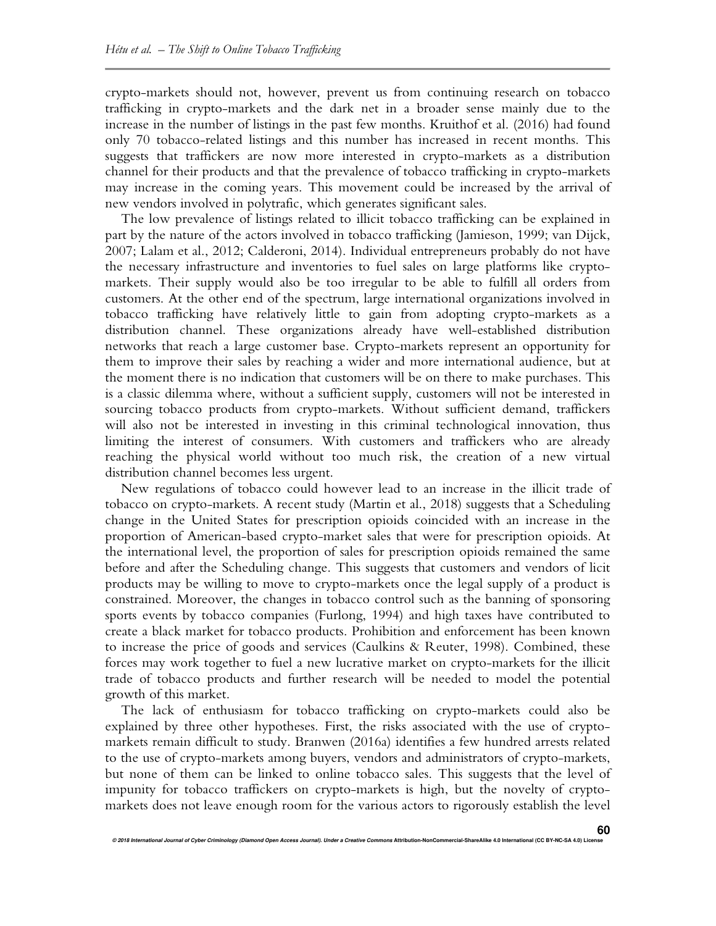crypto-markets should not, however, prevent us from continuing research on tobacco trafficking in crypto-markets and the dark net in a broader sense mainly due to the increase in the number of listings in the past few months. Kruithof et al. (2016) had found only 70 tobacco-related listings and this number has increased in recent months. This suggests that traffickers are now more interested in crypto-markets as a distribution channel for their products and that the prevalence of tobacco trafficking in crypto-markets may increase in the coming years. This movement could be increased by the arrival of new vendors involved in polytrafic, which generates significant sales.

The low prevalence of listings related to illicit tobacco trafficking can be explained in part by the nature of the actors involved in tobacco trafficking (Jamieson, 1999; van Dijck, 2007; Lalam et al., 2012; Calderoni, 2014). Individual entrepreneurs probably do not have the necessary infrastructure and inventories to fuel sales on large platforms like cryptomarkets. Their supply would also be too irregular to be able to fulfill all orders from customers. At the other end of the spectrum, large international organizations involved in tobacco trafficking have relatively little to gain from adopting crypto-markets as a distribution channel. These organizations already have well-established distribution networks that reach a large customer base. Crypto-markets represent an opportunity for them to improve their sales by reaching a wider and more international audience, but at the moment there is no indication that customers will be on there to make purchases. This is a classic dilemma where, without a sufficient supply, customers will not be interested in sourcing tobacco products from crypto-markets. Without sufficient demand, traffickers will also not be interested in investing in this criminal technological innovation, thus limiting the interest of consumers. With customers and traffickers who are already reaching the physical world without too much risk, the creation of a new virtual distribution channel becomes less urgent.

New regulations of tobacco could however lead to an increase in the illicit trade of tobacco on crypto-markets. A recent study (Martin et al., 2018) suggests that a Scheduling change in the United States for prescription opioids coincided with an increase in the proportion of American-based crypto-market sales that were for prescription opioids. At the international level, the proportion of sales for prescription opioids remained the same before and after the Scheduling change. This suggests that customers and vendors of licit products may be willing to move to crypto-markets once the legal supply of a product is constrained. Moreover, the changes in tobacco control such as the banning of sponsoring sports events by tobacco companies (Furlong, 1994) and high taxes have contributed to create a black market for tobacco products. Prohibition and enforcement has been known to increase the price of goods and services (Caulkins & Reuter, 1998). Combined, these forces may work together to fuel a new lucrative market on crypto-markets for the illicit trade of tobacco products and further research will be needed to model the potential growth of this market.

The lack of enthusiasm for tobacco trafficking on crypto-markets could also be explained by three other hypotheses. First, the risks associated with the use of cryptomarkets remain difficult to study. Branwen (2016a) identifies a few hundred arrests related to the use of crypto-markets among buyers, vendors and administrators of crypto-markets, but none of them can be linked to online tobacco sales. This suggests that the level of impunity for tobacco traffickers on crypto-markets is high, but the novelty of cryptomarkets does not leave enough room for the various actors to rigorously establish the level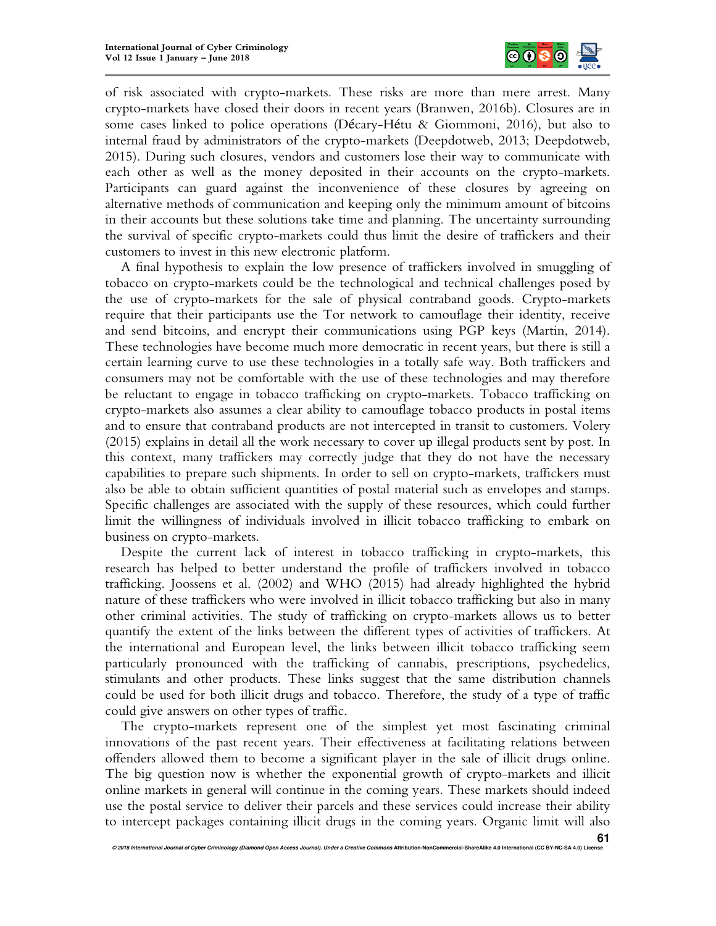

of risk associated with crypto-markets. These risks are more than mere arrest. Many crypto-markets have closed their doors in recent years (Branwen, 2016b). Closures are in some cases linked to police operations (Décary-Hétu & Giommoni, 2016), but also to internal fraud by administrators of the crypto-markets (Deepdotweb, 2013; Deepdotweb, 2015). During such closures, vendors and customers lose their way to communicate with each other as well as the money deposited in their accounts on the crypto-markets. Participants can guard against the inconvenience of these closures by agreeing on alternative methods of communication and keeping only the minimum amount of bitcoins in their accounts but these solutions take time and planning. The uncertainty surrounding the survival of specific crypto-markets could thus limit the desire of traffickers and their customers to invest in this new electronic platform.

A final hypothesis to explain the low presence of traffickers involved in smuggling of tobacco on crypto-markets could be the technological and technical challenges posed by the use of crypto-markets for the sale of physical contraband goods. Crypto-markets require that their participants use the Tor network to camouflage their identity, receive and send bitcoins, and encrypt their communications using PGP keys (Martin, 2014). These technologies have become much more democratic in recent years, but there is still a certain learning curve to use these technologies in a totally safe way. Both traffickers and consumers may not be comfortable with the use of these technologies and may therefore be reluctant to engage in tobacco trafficking on crypto-markets. Tobacco trafficking on crypto-markets also assumes a clear ability to camouflage tobacco products in postal items and to ensure that contraband products are not intercepted in transit to customers. Volery (2015) explains in detail all the work necessary to cover up illegal products sent by post. In this context, many traffickers may correctly judge that they do not have the necessary capabilities to prepare such shipments. In order to sell on crypto-markets, traffickers must also be able to obtain sufficient quantities of postal material such as envelopes and stamps. Specific challenges are associated with the supply of these resources, which could further limit the willingness of individuals involved in illicit tobacco trafficking to embark on business on crypto-markets.

Despite the current lack of interest in tobacco trafficking in crypto-markets, this research has helped to better understand the profile of traffickers involved in tobacco trafficking. Joossens et al. (2002) and WHO (2015) had already highlighted the hybrid nature of these traffickers who were involved in illicit tobacco trafficking but also in many other criminal activities. The study of trafficking on crypto-markets allows us to better quantify the extent of the links between the different types of activities of traffickers. At the international and European level, the links between illicit tobacco trafficking seem particularly pronounced with the trafficking of cannabis, prescriptions, psychedelics, stimulants and other products. These links suggest that the same distribution channels could be used for both illicit drugs and tobacco. Therefore, the study of a type of traffic could give answers on other types of traffic.

The crypto-markets represent one of the simplest yet most fascinating criminal innovations of the past recent years. Their effectiveness at facilitating relations between offenders allowed them to become a significant player in the sale of illicit drugs online. The big question now is whether the exponential growth of crypto-markets and illicit online markets in general will continue in the coming years. These markets should indeed use the postal service to deliver their parcels and these services could increase their ability to intercept packages containing illicit drugs in the coming years. Organic limit will also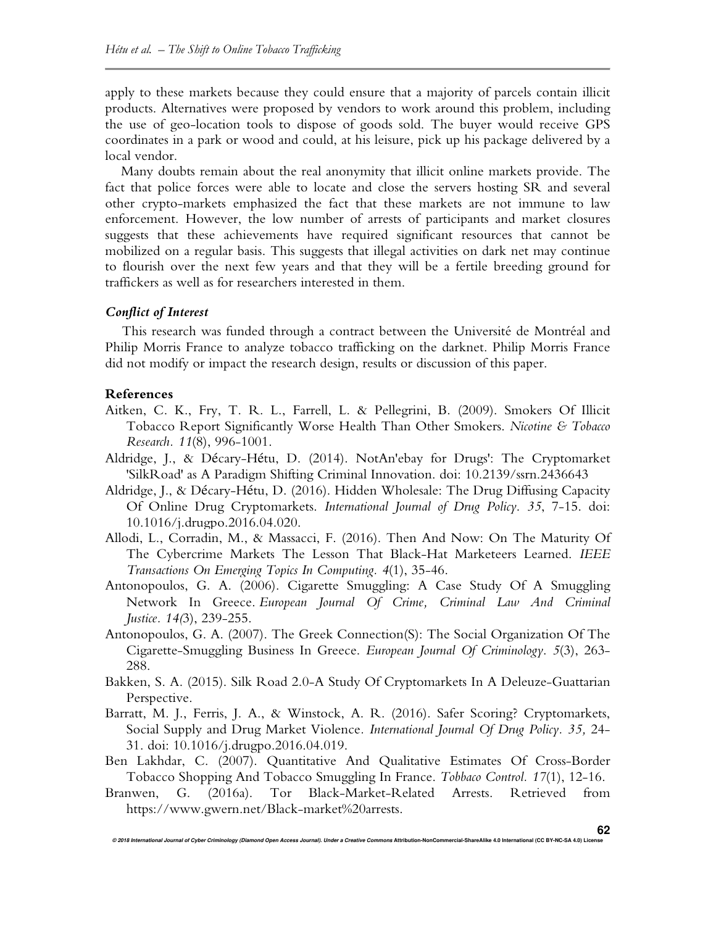apply to these markets because they could ensure that a majority of parcels contain illicit products. Alternatives were proposed by vendors to work around this problem, including the use of geo-location tools to dispose of goods sold. The buyer would receive GPS coordinates in a park or wood and could, at his leisure, pick up his package delivered by a local vendor.

Many doubts remain about the real anonymity that illicit online markets provide. The fact that police forces were able to locate and close the servers hosting SR and several other crypto-markets emphasized the fact that these markets are not immune to law enforcement. However, the low number of arrests of participants and market closures suggests that these achievements have required significant resources that cannot be mobilized on a regular basis. This suggests that illegal activities on dark net may continue to flourish over the next few years and that they will be a fertile breeding ground for traffickers as well as for researchers interested in them.

### *Conflict of Interest*

This research was funded through a contract between the Université de Montréal and Philip Morris France to analyze tobacco trafficking on the darknet. Philip Morris France did not modify or impact the research design, results or discussion of this paper.

### **References**

- Aitken, C. K., Fry, T. R. L., Farrell, L. & Pellegrini, B. (2009). Smokers Of Illicit Tobacco Report Significantly Worse Health Than Other Smokers. *Nicotine & Tobacco Research. 11*(8), 996-1001.
- Aldridge, J., & Décary-Hétu, D. (2014). NotAn'ebay for Drugs': The Cryptomarket 'SilkRoad' as A Paradigm Shifting Criminal Innovation. doi: 10.2139/ssrn.2436643
- Aldridge, J., & Décary-Hétu, D. (2016). Hidden Wholesale: The Drug Diffusing Capacity Of Online Drug Cryptomarkets. *International Journal of Drug Policy*. *35*, 7-15. doi: 10.1016/j.drugpo.2016.04.020.
- Allodi, L., Corradin, M., & Massacci, F. (2016). Then And Now: On The Maturity Of The Cybercrime Markets The Lesson That Black-Hat Marketeers Learned. *IEEE Transactions On Emerging Topics In Computing. 4*(1), 35-46.
- Antonopoulos, G. A. (2006). Cigarette Smuggling: A Case Study Of A Smuggling Network In Greece. *European Journal Of Crime, Criminal Law And Criminal Justice. 14(*3), 239-255.
- Antonopoulos, G. A. (2007). The Greek Connection(S): The Social Organization Of The Cigarette-Smuggling Business In Greece. *European Journal Of Criminology*. *5*(3), 263- 288.
- Bakken, S. A. (2015). Silk Road 2.0-A Study Of Cryptomarkets In A Deleuze-Guattarian Perspective.
- Barratt, M. J., Ferris, J. A., & Winstock, A. R. (2016). Safer Scoring? Cryptomarkets, Social Supply and Drug Market Violence*. International Journal Of Drug Policy. 35,* 24- 31. doi: 10.1016/j.drugpo.2016.04.019.
- Ben Lakhdar, C. (2007). Quantitative And Qualitative Estimates Of Cross-Border Tobacco Shopping And Tobacco Smuggling In France. *Tobbaco Control. 17*(1), 12-16.
- Branwen, G. (2016a). Tor Black-Market-Related Arrests. Retrieved from https://www.gwern.net/Black-market%20arrests.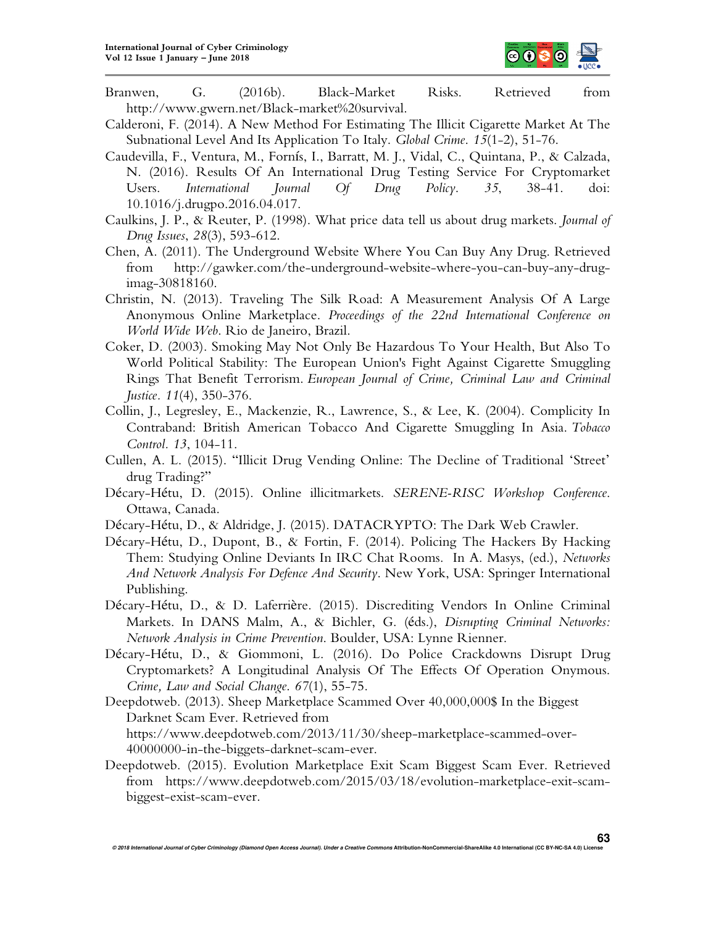

- Branwen, G. (2016b). Black-Market Risks. Retrieved from http://www.gwern.net/Black-market%20survival.
- Calderoni, F. (2014). A New Method For Estimating The Illicit Cigarette Market At The Subnational Level And Its Application To Italy. *Global Crime*. *15*(1-2), 51-76.
- Caudevilla, F., Ventura, M., Fornís, I., Barratt, M. J., Vidal, C., Quintana, P., & Calzada, N. (2016). Results Of An International Drug Testing Service For Cryptomarket Users. *International Journal Of Drug Policy*. *35*, 38-41. doi: 10.1016/j.drugpo.2016.04.017.
- Caulkins, J. P., & Reuter, P. (1998). What price data tell us about drug markets. *Journal of Drug Issues*, *28*(3), 593-612.
- Chen, A. (2011). The Underground Website Where You Can Buy Any Drug. Retrieved from http://gawker.com/the-underground-website-where-you-can-buy-any-drugimag-30818160.
- Christin, N. (2013). Traveling The Silk Road: A Measurement Analysis Of A Large Anonymous Online Marketplace. *Proceedings of the 22nd International Conference on World Wide Web*. Rio de Janeiro, Brazil.
- Coker, D. (2003). Smoking May Not Only Be Hazardous To Your Health, But Also To World Political Stability: The European Union's Fight Against Cigarette Smuggling Rings That Benefit Terrorism. *European Journal of Crime, Criminal Law and Criminal Justice. 11*(4), 350-376.
- Collin, J., Legresley, E., Mackenzie, R., Lawrence, S., & Lee, K. (2004). Complicity In Contraband: British American Tobacco And Cigarette Smuggling In Asia. *Tobacco Control. 13*, 104-11.
- Cullen, A. L. (2015). "Illicit Drug Vending Online: The Decline of Traditional 'Street' drug Trading?"
- Décary-Hétu, D. (2015). Online illicitmarkets. *SERENE-RISC Workshop Conference*. Ottawa, Canada.
- Décary-Hétu, D., & Aldridge, J. (2015). DATACRYPTO: The Dark Web Crawler.
- Décary-Hétu, D., Dupont, B., & Fortin, F. (2014). Policing The Hackers By Hacking Them: Studying Online Deviants In IRC Chat Rooms. In A. Masys, (ed.), *Networks And Network Analysis For Defence And Security*. New York, USA: Springer International Publishing.
- Décary-Hétu, D., & D. Laferrière. (2015). Discrediting Vendors In Online Criminal Markets. In DANS Malm, A., & Bichler, G. (éds.), *Disrupting Criminal Networks: Network Analysis in Crime Prevention*. Boulder, USA: Lynne Rienner.
- Décary-Hétu, D., & Giommoni, L. (2016). Do Police Crackdowns Disrupt Drug Cryptomarkets? A Longitudinal Analysis Of The Effects Of Operation Onymous. *Crime, Law and Social Change*. *67*(1), 55-75.
- Deepdotweb. (2013). Sheep Marketplace Scammed Over 40,000,000\$ In the Biggest Darknet Scam Ever. Retrieved from https://www.deepdotweb.com/2013/11/30/sheep-marketplace-scammed-over-40000000-in-the-biggets-darknet-scam-ever.
- Deepdotweb. (2015). Evolution Marketplace Exit Scam Biggest Scam Ever. Retrieved from https://www.deepdotweb.com/2015/03/18/evolution-marketplace-exit-scambiggest-exist-scam-ever.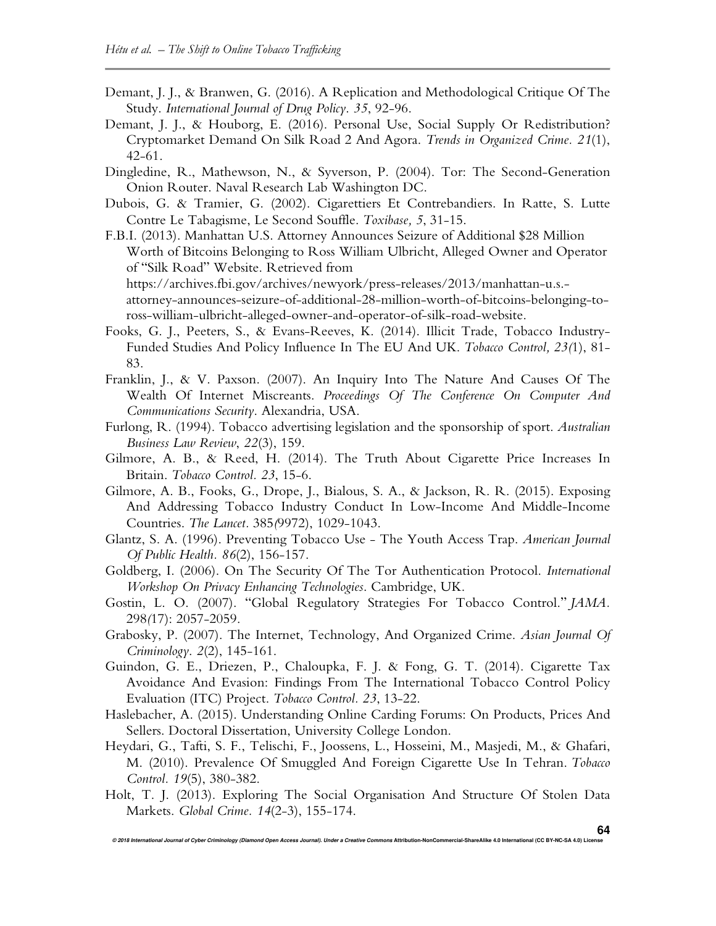- Demant, J. J., & Branwen, G. (2016). A Replication and Methodological Critique Of The Study. *International Journal of Drug Policy*. *35*, 92-96.
- Demant, J. J., & Houborg, E. (2016). Personal Use, Social Supply Or Redistribution? Cryptomarket Demand On Silk Road 2 And Agora. *Trends in Organized Crime. 21*(1), 42-61.
- Dingledine, R., Mathewson, N., & Syverson, P. (2004). Tor: The Second-Generation Onion Router. Naval Research Lab Washington DC.
- Dubois, G. & Tramier, G. (2002). Cigarettiers Et Contrebandiers. In Ratte, S. Lutte Contre Le Tabagisme, Le Second Souffle. *Toxibase, 5*, 31-15.
- F.B.I. (2013). Manhattan U.S. Attorney Announces Seizure of Additional \$28 Million Worth of Bitcoins Belonging to Ross William Ulbricht, Alleged Owner and Operator of "Silk Road" Website. Retrieved from https://archives.fbi.gov/archives/newyork/press-releases/2013/manhattan-u.s. attorney-announces-seizure-of-additional-28-million-worth-of-bitcoins-belonging-to-

ross-william-ulbricht-alleged-owner-and-operator-of-silk-road-website.

- Fooks, G. J., Peeters, S., & Evans-Reeves, K. (2014). Illicit Trade, Tobacco Industry-Funded Studies And Policy Influence In The EU And UK. *Tobacco Control, 23(*1), 81- 83.
- Franklin, J., & V. Paxson. (2007). An Inquiry Into The Nature And Causes Of The Wealth Of Internet Miscreants. *Proceedings Of The Conference On Computer And Communications Security*. Alexandria, USA.

Furlong, R. (1994). Tobacco advertising legislation and the sponsorship of sport. *Australian Business Law Review*, *22*(3), 159.

- Gilmore, A. B., & Reed, H. (2014). The Truth About Cigarette Price Increases In Britain. *Tobacco Control. 23*, 15-6.
- Gilmore, A. B., Fooks, G., Drope, J., Bialous, S. A., & Jackson, R. R. (2015). Exposing And Addressing Tobacco Industry Conduct In Low-Income And Middle-Income Countries. *The Lancet.* 385*(*9972), 1029-1043.
- Glantz, S. A. (1996). Preventing Tobacco Use The Youth Access Trap. *American Journal Of Public Health. 86*(2), 156-157.
- Goldberg, I. (2006). On The Security Of The Tor Authentication Protocol. *International Workshop On Privacy Enhancing Technologies*. Cambridge, UK.
- Gostin, L. O. (2007). "Global Regulatory Strategies For Tobacco Control." *JAMA.*  298*(*17): 2057-2059.
- Grabosky, P. (2007). The Internet, Technology, And Organized Crime. *Asian Journal Of Criminology*. *2*(2), 145-161.
- Guindon, G. E., Driezen, P., Chaloupka, F. J. & Fong, G. T. (2014). Cigarette Tax Avoidance And Evasion: Findings From The International Tobacco Control Policy Evaluation (ITC) Project. *Tobacco Control. 23*, 13-22.
- Haslebacher, A. (2015). Understanding Online Carding Forums: On Products, Prices And Sellers. Doctoral Dissertation, University College London.
- Heydari, G., Tafti, S. F., Telischi, F., Joossens, L., Hosseini, M., Masjedi, M., & Ghafari, M. (2010). Prevalence Of Smuggled And Foreign Cigarette Use In Tehran. *Tobacco Control. 19*(5), 380-382.
- Holt, T. J. (2013). Exploring The Social Organisation And Structure Of Stolen Data Markets. *Global Crime. 14*(2-3), 155-174.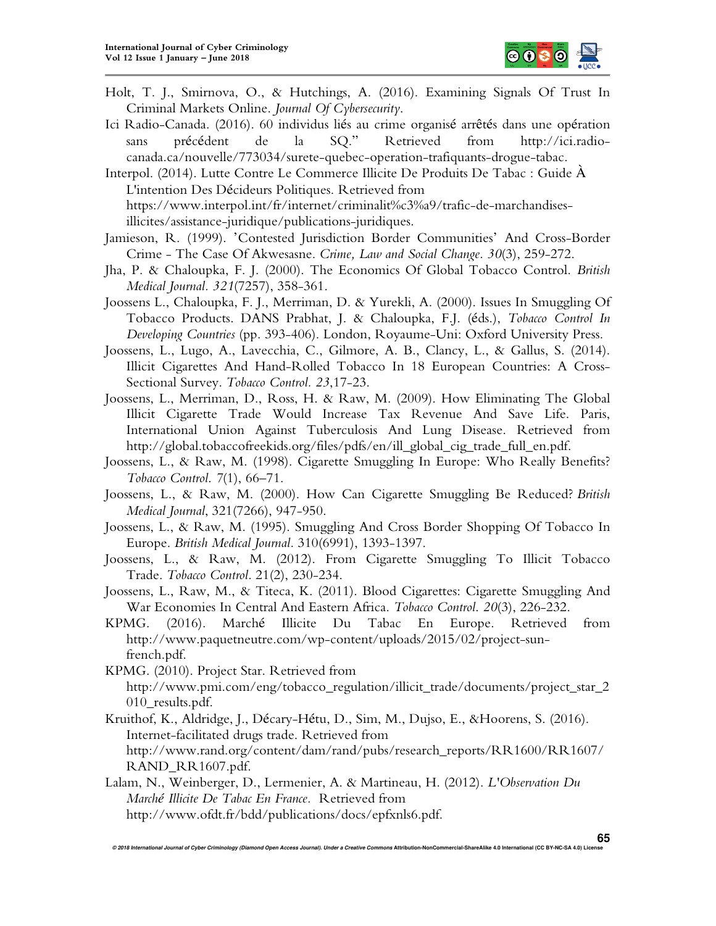

- Holt, T. J., Smirnova, O., & Hutchings, A. (2016). Examining Signals Of Trust In Criminal Markets Online. *Journal Of Cybersecurity*.
- Ici Radio-Canada. (2016). 60 individus liés au crime organisé arrêtés dans une opération sans précédent de la SQ." Retrieved from http://ici.radiocanada.ca/nouvelle/773034/surete-quebec-operation-trafiquants-drogue-tabac.

Interpol. (2014). Lutte Contre Le Commerce Illicite De Produits De Tabac : Guide À L'intention Des Décideurs Politiques. Retrieved from https://www.interpol.int/fr/internet/criminalit%c3%a9/trafic-de-marchandisesillicites/assistance-juridique/publications-juridiques.

- Jamieson, R. (1999). 'Contested Jurisdiction Border Communities' And Cross-Border Crime - The Case Of Akwesasne. *Crime, Law and Social Change. 30*(3), 259-272.
- Jha, P. & Chaloupka, F. J. (2000). The Economics Of Global Tobacco Control. *British Medical Journal. 321*(7257), 358-361.
- Joossens L., Chaloupka, F. J., Merriman, D. & Yurekli, A. (2000). Issues In Smuggling Of Tobacco Products. DANS Prabhat, J. & Chaloupka, F.J. (éds.), *Tobacco Control In Developing Countries* (pp. 393-406). London, Royaume-Uni: Oxford University Press.
- Joossens, L., Lugo, A., Lavecchia, C., Gilmore, A. B., Clancy, L., & Gallus, S. (2014). Illicit Cigarettes And Hand-Rolled Tobacco In 18 European Countries: A Cross-Sectional Survey. *Tobacco Control. 23*,17-23.
- Joossens, L., Merriman, D., Ross, H. & Raw, M. (2009). How Eliminating The Global Illicit Cigarette Trade Would Increase Tax Revenue And Save Life. Paris, International Union Against Tuberculosis And Lung Disease. Retrieved from http://global.tobaccofreekids.org/files/pdfs/en/ill\_global\_cig\_trade\_full\_en.pdf.
- Joossens, L., & Raw, M. (1998). Cigarette Smuggling In Europe: Who Really Benefits? *Tobacco Control*. *7*(1), 66–71.
- Joossens, L., & Raw, M. (2000). How Can Cigarette Smuggling Be Reduced? *British Medical Journal*, 321(7266), 947-950.
- Joossens, L., & Raw, M. (1995). Smuggling And Cross Border Shopping Of Tobacco In Europe. *British Medical Journal.* 310(6991), 1393-1397.
- Joossens, L., & Raw, M. (2012). From Cigarette Smuggling To Illicit Tobacco Trade. *Tobacco Control.* 21(2), 230-234.
- Joossens, L., Raw, M., & Titeca, K. (2011). Blood Cigarettes: Cigarette Smuggling And War Economies In Central And Eastern Africa. *Tobacco Control*. *20*(3), 226-232.
- KPMG. (2016). Marché Illicite Du Tabac En Europe. Retrieved from http://www.paquetneutre.com/wp-content/uploads/2015/02/project-sunfrench.pdf.

KPMG. (2010). Project Star. Retrieved from http://www.pmi.com/eng/tobacco\_regulation/illicit\_trade/documents/project\_star\_2 010 results.pdf.

Kruithof, K., Aldridge, J., Décary-Hétu, D., Sim, M., Dujso, E., &Hoorens, S. (2016). Internet-facilitated drugs trade. Retrieved from http://www.rand.org/content/dam/rand/pubs/research\_reports/RR1600/RR1607/ RAND\_RR1607.pdf.

Lalam, N., Weinberger, D., Lermenier, A. & Martineau, H. (2012). *L'Observation Du Marché Illicite De Tabac En France.* Retrieved from http://www.ofdt.fr/bdd/publications/docs/epfxnls6.pdf.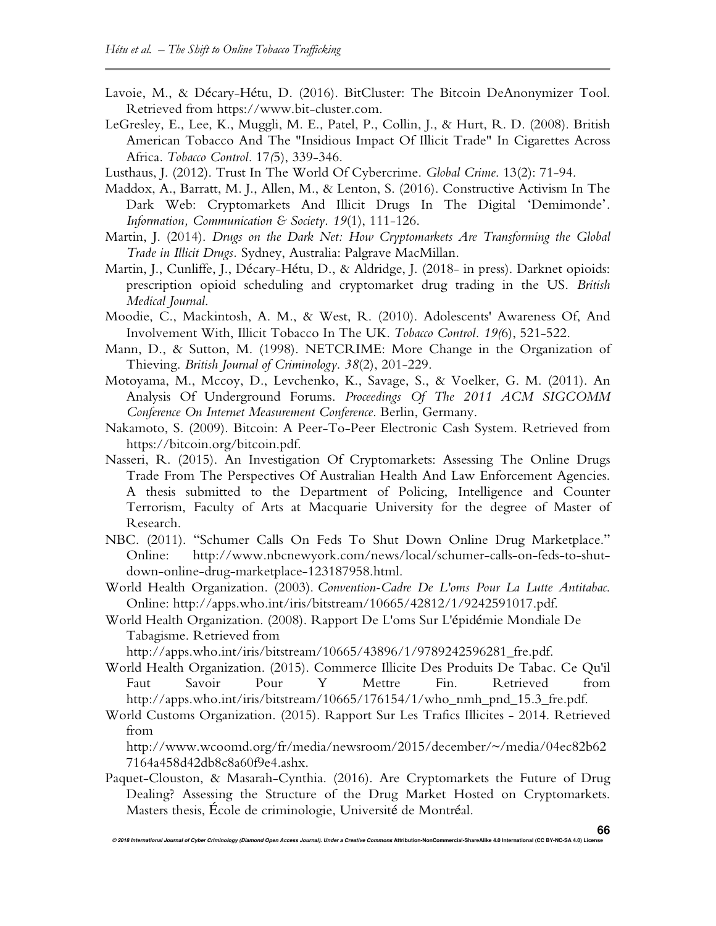- Lavoie, M., & Décary-Hétu, D. (2016). BitCluster: The Bitcoin DeAnonymizer Tool. Retrieved from https://www.bit-cluster.com.
- LeGresley, E., Lee, K., Muggli, M. E., Patel, P., Collin, J., & Hurt, R. D. (2008). British American Tobacco And The "Insidious Impact Of Illicit Trade" In Cigarettes Across Africa. *Tobacco Control.* 17*(*5), 339-346.
- Lusthaus, J. (2012). Trust In The World Of Cybercrime. *Global Crime*. 13(2): 71-94.
- Maddox, A., Barratt, M. J., Allen, M., & Lenton, S. (2016). Constructive Activism In The Dark Web: Cryptomarkets And Illicit Drugs In The Digital 'Demimonde'. *Information, Communication & Society*. *19*(1), 111-126.
- Martin, J. (2014). *Drugs on the Dark Net: How Cryptomarkets Are Transforming the Global Trade in Illicit Drugs.* Sydney, Australia: Palgrave MacMillan.
- Martin, J., Cunliffe, J., Décary-Hétu, D., & Aldridge, J. (2018- in press). Darknet opioids: prescription opioid scheduling and cryptomarket drug trading in the US. *British Medical Journal*.
- Moodie, C., Mackintosh, A. M., & West, R. (2010). Adolescents' Awareness Of, And Involvement With, Illicit Tobacco In The UK. *Tobacco Control. 19(*6), 521-522.
- Mann, D., & Sutton, M. (1998). NETCRIME: More Change in the Organization of Thieving. *British Journal of Criminology*. *38*(2), 201-229.
- Motoyama, M., Mccoy, D., Levchenko, K., Savage, S., & Voelker, G. M. (2011). An Analysis Of Underground Forums. *Proceedings Of The 2011 ACM SIGCOMM Conference On Internet Measurement Conference*. Berlin, Germany.
- Nakamoto, S. (2009). Bitcoin: A Peer-To-Peer Electronic Cash System. Retrieved from https://bitcoin.org/bitcoin.pdf.
- Nasseri, R. (2015). An Investigation Of Cryptomarkets: Assessing The Online Drugs Trade From The Perspectives Of Australian Health And Law Enforcement Agencies. A thesis submitted to the Department of Policing, Intelligence and Counter Terrorism, Faculty of Arts at Macquarie University for the degree of Master of Research.
- NBC. (2011). "Schumer Calls On Feds To Shut Down Online Drug Marketplace." Online: http://www.nbcnewyork.com/news/local/schumer-calls-on-feds-to-shutdown-online-drug-marketplace-123187958.html.
- World Health Organization. (2003). *Convention-Cadre De L'oms Pour La Lutte Antitabac*. Online: http://apps.who.int/iris/bitstream/10665/42812/1/9242591017.pdf.
- World Health Organization. (2008). Rapport De L'oms Sur L'épidémie Mondiale De Tabagisme. Retrieved from

http://apps.who.int/iris/bitstream/10665/43896/1/9789242596281\_fre.pdf.

- World Health Organization. (2015). Commerce Illicite Des Produits De Tabac. Ce Qu'il Faut Savoir Pour Y Mettre Fin. Retrieved from http://apps.who.int/iris/bitstream/10665/176154/1/who\_nmh\_pnd\_15.3\_fre.pdf.
- World Customs Organization. (2015). Rapport Sur Les Trafics Illicites 2014. Retrieved from

http://www.wcoomd.org/fr/media/newsroom/2015/december/~/media/04ec82b62 7164a458d42db8c8a60f9e4.ashx.

Paquet-Clouston, & Masarah-Cynthia. (2016). Are Cryptomarkets the Future of Drug Dealing? Assessing the Structure of the Drug Market Hosted on Cryptomarkets. Masters thesis, École de criminologie, Université de Montréal.